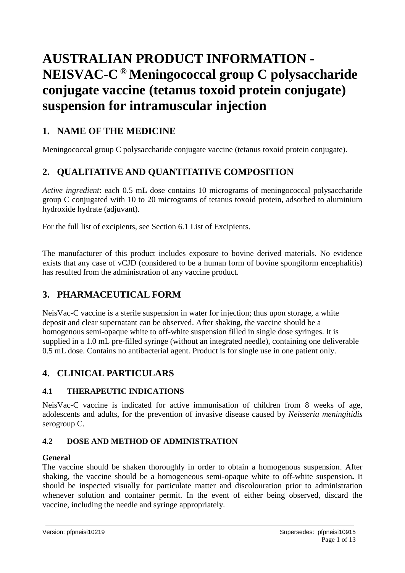# **AUSTRALIAN PRODUCT INFORMATION - NEISVAC-C ® Meningococcal group C polysaccharide conjugate vaccine (tetanus toxoid protein conjugate) suspension for intramuscular injection**

# **1. NAME OF THE MEDICINE**

Meningococcal group C polysaccharide conjugate vaccine (tetanus toxoid protein conjugate).

# **2. QUALITATIVE AND QUANTITATIVE COMPOSITION**

*Active ingredient*: each 0.5 mL dose contains 10 micrograms of meningococcal polysaccharide group C conjugated with 10 to 20 micrograms of tetanus toxoid protein, adsorbed to aluminium hydroxide hydrate (adjuvant).

For the full list of excipients, see Section 6.1 List of Excipients.

The manufacturer of this product includes exposure to bovine derived materials. No evidence exists that any case of vCJD (considered to be a human form of bovine spongiform encephalitis) has resulted from the administration of any vaccine product.

# **3. PHARMACEUTICAL FORM**

NeisVac-C vaccine is a sterile suspension in water for injection; thus upon storage, a white deposit and clear supernatant can be observed. After shaking, the vaccine should be a homogenous semi-opaque white to off-white suspension filled in single dose syringes. It is supplied in a 1.0 mL pre-filled syringe (without an integrated needle), containing one deliverable 0.5 mL dose. Contains no antibacterial agent. Product is for single use in one patient only.

# **4. CLINICAL PARTICULARS**

### **4.1 THERAPEUTIC INDICATIONS**

NeisVac-C vaccine is indicated for active immunisation of children from 8 weeks of age, adolescents and adults, for the prevention of invasive disease caused by *Neisseria meningitidis* serogroup C.

# **4.2 DOSE AND METHOD OF ADMINISTRATION**

### **General**

The vaccine should be shaken thoroughly in order to obtain a homogenous suspension. After shaking, the vaccine should be a homogeneous semi-opaque white to off-white suspension**.** It should be inspected visually for particulate matter and discolouration prior to administration whenever solution and container permit. In the event of either being observed, discard the vaccine, including the needle and syringe appropriately.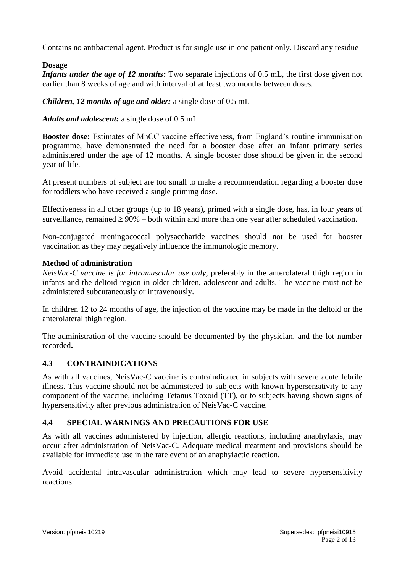Contains no antibacterial agent. Product is for single use in one patient only. Discard any residue

### **Dosage**

*Infants under the age of 12 months***:** Two separate injections of 0.5 mL, the first dose given not earlier than 8 weeks of age and with interval of at least two months between doses.

*Children, 12 months of age and older:* a single dose of 0.5 mL

*Adults and adolescent:* a single dose of 0.5 mL

**Booster dose:** Estimates of MnCC vaccine effectiveness, from England's routine immunisation programme, have demonstrated the need for a booster dose after an infant primary series administered under the age of 12 months. A single booster dose should be given in the second year of life.

At present numbers of subject are too small to make a recommendation regarding a booster dose for toddlers who have received a single priming dose.

Effectiveness in all other groups (up to 18 years), primed with a single dose, has, in four years of surveillance, remained  $\geq 90\%$  – both within and more than one year after scheduled vaccination.

Non-conjugated meningococcal polysaccharide vaccines should not be used for booster vaccination as they may negatively influence the immunologic memory.

### **Method of administration**

*NeisVac-C vaccine is for intramuscular use only,* preferably in the anterolateral thigh region in infants and the deltoid region in older children, adolescent and adults. The vaccine must not be administered subcutaneously or intravenously.

In children 12 to 24 months of age, the injection of the vaccine may be made in the deltoid or the anterolateral thigh region.

The administration of the vaccine should be documented by the physician, and the lot number recorded**.**

### **4.3 CONTRAINDICATIONS**

As with all vaccines, NeisVac-C vaccine is contraindicated in subjects with severe acute febrile illness. This vaccine should not be administered to subjects with known hypersensitivity to any component of the vaccine, including Tetanus Toxoid (TT), or to subjects having shown signs of hypersensitivity after previous administration of NeisVac-C vaccine.

# **4.4 SPECIAL WARNINGS AND PRECAUTIONS FOR USE**

As with all vaccines administered by injection, allergic reactions, including anaphylaxis, may occur after administration of NeisVac-C. Adequate medical treatment and provisions should be available for immediate use in the rare event of an anaphylactic reaction.

Avoid accidental intravascular administration which may lead to severe hypersensitivity reactions.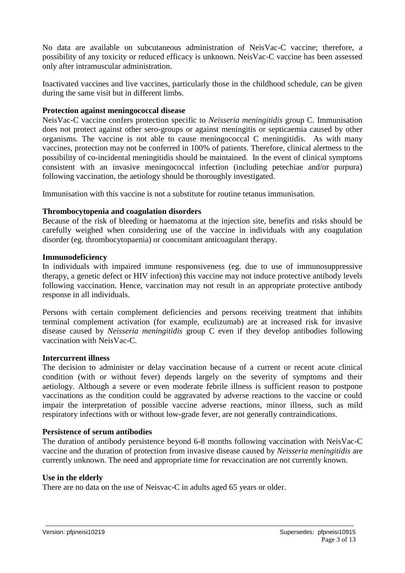No data are available on subcutaneous administration of NeisVac-C vaccine; therefore, a possibility of any toxicity or reduced efficacy is unknown. NeisVac-C vaccine has been assessed only after intramuscular administration.

Inactivated vaccines and live vaccines, particularly those in the childhood schedule, can be given during the same visit but in different limbs.

#### **Protection against meningococcal disease**

NeisVac-C vaccine confers protection specific to *Neisseria meningitidis* group C. Immunisation does not protect against other sero-groups or against meningitis or septicaemia caused by other organisms. The vaccine is not able to cause meningococcal C meningitidis. As with many vaccines, protection may not be conferred in 100% of patients. Therefore, clinical alertness to the possibility of co-incidental meningitidis should be maintained. In the event of clinical symptoms consistent with an invasive meningococcal infection (including petechiae and/or purpura) following vaccination, the aetiology should be thoroughly investigated.

Immunisation with this vaccine is not a substitute for routine tetanus immunisation.

#### **Thrombocytopenia and coagulation disorders**

Because of the risk of bleeding or haematoma at the injection site, benefits and risks should be carefully weighed when considering use of the vaccine in individuals with any coagulation disorder (eg. thrombocytopaenia) or concomitant anticoagulant therapy.

#### **Immunodeficiency**

In individuals with impaired immune responsiveness (eg. due to use of immunosuppressive therapy, a genetic defect or HIV infection) this vaccine may not induce protective antibody levels following vaccination. Hence, vaccination may not result in an appropriate protective antibody response in all individuals.

Persons with certain complement deficiencies and persons receiving treatment that inhibits terminal complement activation (for example, eculizumab) are at increased risk for invasive disease caused by *Neisseria meningitidis* group C even if they develop antibodies following vaccination with NeisVac-C.

#### **Intercurrent illness**

The decision to administer or delay vaccination because of a current or recent acute clinical condition (with or without fever) depends largely on the severity of symptoms and their aetiology. Although a severe or even moderate febrile illness is sufficient reason to postpone vaccinations as the condition could be aggravated by adverse reactions to the vaccine or could impair the interpretation of possible vaccine adverse reactions, minor illness, such as mild respiratory infections with or without low-grade fever, are not generally contraindications.

#### **Persistence of serum antibodies**

The duration of antibody persistence beyond 6-8 months following vaccination with NeisVac-C vaccine and the duration of protection from invasive disease caused by *Neisseria meningitidis* are currently unknown. The need and appropriate time for revaccination are not currently known.

#### **Use in the elderly**

There are no data on the use of Neisvac-C in adults aged 65 years or older.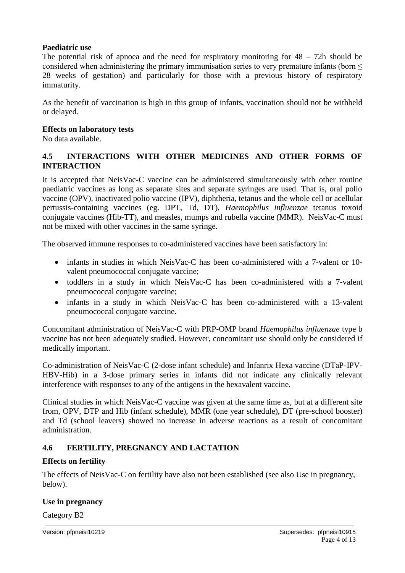#### **Paediatric use**

The potential risk of apnoea and the need for respiratory monitoring for  $48 - 72h$  should be considered when administering the primary immunisation series to very premature infants (born  $\leq$ 28 weeks of gestation) and particularly for those with a previous history of respiratory immaturity.

As the benefit of vaccination is high in this group of infants, vaccination should not be withheld or delayed.

#### **Effects on laboratory tests**

No data available.

#### **4.5 INTERACTIONS WITH OTHER MEDICINES AND OTHER FORMS OF INTERACTION**

It is accepted that NeisVac-C vaccine can be administered simultaneously with other routine paediatric vaccines as long as separate sites and separate syringes are used. That is, oral polio vaccine (OPV), inactivated polio vaccine (IPV), diphtheria, tetanus and the whole cell or acellular pertussis-containing vaccines (eg. DPT, Td, DT), *Haemophilus influenzae* tetanus toxoid conjugate vaccines (Hib-TT), and measles, mumps and rubella vaccine (MMR). NeisVac-C must not be mixed with other vaccines in the same syringe.

The observed immune responses to co-administered vaccines have been satisfactory in:

- infants in studies in which NeisVac-C has been co-administered with a 7-valent or 10valent pneumococcal conjugate vaccine;
- toddlers in a study in which NeisVac-C has been co-administered with a 7-valent pneumococcal conjugate vaccine;
- infants in a study in which NeisVac-C has been co-administered with a 13-valent pneumococcal conjugate vaccine.

Concomitant administration of NeisVac-C with PRP-OMP brand *Haemophilus influenzae* type b vaccine has not been adequately studied. However, concomitant use should only be considered if medically important.

Co-administration of NeisVac-C (2-dose infant schedule) and Infanrix Hexa vaccine (DTaP-IPV-HBV-Hib) in a 3-dose primary series in infants did not indicate any clinically relevant interference with responses to any of the antigens in the hexavalent vaccine.

Clinical studies in which NeisVac-C vaccine was given at the same time as, but at a different site from, OPV, DTP and Hib (infant schedule), MMR (one year schedule), DT (pre-school booster) and Td (school leavers) showed no increase in adverse reactions as a result of concomitant administration.

### **4.6 FERTILITY, PREGNANCY AND LACTATION**

#### **Effects on fertility**

The effects of NeisVac-C on fertility have also not been established (see also Use in pregnancy, below).

#### **Use in pregnancy**

Category B2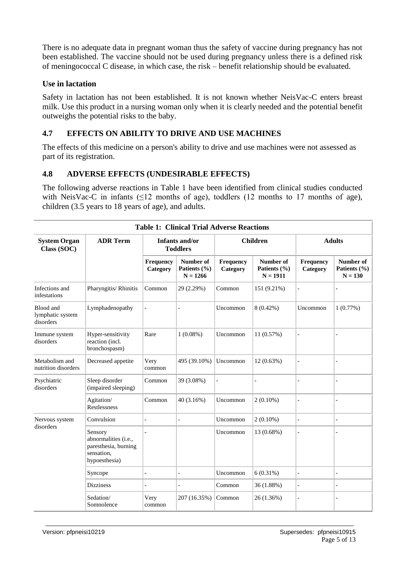There is no adequate data in pregnant woman thus the safety of vaccine during pregnancy has not been established. The vaccine should not be used during pregnancy unless there is a defined risk of meningococcal C disease, in which case, the risk – benefit relationship should be evaluated.

#### **Use in lactation**

Safety in lactation has not been established. It is not known whether NeisVac-C enters breast milk. Use this product in a nursing woman only when it is clearly needed and the potential benefit outweighs the potential risks to the baby.

### **4.7 EFFECTS ON ABILITY TO DRIVE AND USE MACHINES**

The effects of this medicine on a person's ability to drive and use machines were not assessed as part of its registration.

#### **4.8 ADVERSE EFFECTS (UNDESIRABLE EFFECTS)**

The following adverse reactions in Table 1 have been identified from clinical studies conducted with NeisVac-C in infants ( $\leq 12$  months of age), toddlers (12 months to 17 months of age), children (3.5 years to 18 years of age), and adults.

| <b>Table 1: Clinical Trial Adverse Reactions</b> |                                                                                        |                       |                                         |                       |                                         |                       |                                        |
|--------------------------------------------------|----------------------------------------------------------------------------------------|-----------------------|-----------------------------------------|-----------------------|-----------------------------------------|-----------------------|----------------------------------------|
| <b>System Organ</b><br>Class (SOC)               | <b>ADR Term</b>                                                                        |                       | Infants and/or<br><b>Toddlers</b>       |                       | <b>Children</b>                         | <b>Adults</b>         |                                        |
|                                                  |                                                                                        | Frequency<br>Category | Number of<br>Patients (%)<br>$N = 1266$ | Frequency<br>Category | Number of<br>Patients (%)<br>$N = 1911$ | Frequency<br>Category | Number of<br>Patients (%)<br>$N = 130$ |
| Infections and<br>infestations                   | Pharyngitis/ Rhinitis                                                                  | Common                | 29 (2.29%)                              | Common                | 151 (9.21%)                             |                       |                                        |
| Blood and<br>lymphatic system<br>disorders       | Lymphadenopathy                                                                        |                       |                                         | Uncommon              | $8(0.42\%)$                             | Uncommon              | 1(0.77%)                               |
| Immune system<br>disorders                       | Hyper-sensitivity<br>reaction (incl.<br>bronchospasm)                                  | Rare                  | $1(0.08\%)$                             | Uncommon              | 11 (0.57%)                              |                       |                                        |
| Metabolism and<br>nutrition disorders            | Decreased appetite                                                                     | Very<br>common        | 495 (39.10%)                            | Uncommon              | $12(0.63\%)$                            |                       |                                        |
| Psychiatric<br>disorders                         | Sleep disorder<br>(impaired sleeping)                                                  | Common                | 39 (3.08%)                              |                       |                                         |                       |                                        |
|                                                  | Agitation/<br>Restlessness                                                             | Common                | 40 (3.16%)                              | Uncommon              | $2(0.10\%)$                             |                       |                                        |
| Nervous system                                   | Convulsion                                                                             |                       |                                         | Uncommon              | $2(0.10\%)$                             | $\overline{a}$        |                                        |
| disorders                                        | Sensory<br>abnormalities (i.e.,<br>paresthesia, burning<br>sensation,<br>hypoesthesia) |                       |                                         | Uncommon              | 13 (0.68%)                              | $\overline{a}$        |                                        |
|                                                  | Syncope                                                                                |                       |                                         | Uncommon              | $6(0.31\%)$                             |                       |                                        |
|                                                  | <b>Dizziness</b>                                                                       |                       |                                         | Common                | 36 (1.88%)                              | $\overline{a}$        |                                        |
|                                                  | Sedation/<br>Somnolence                                                                | Very<br>common        | 207 (16.35%)                            | Common                | 26 (1.36%)                              | $\overline{a}$        |                                        |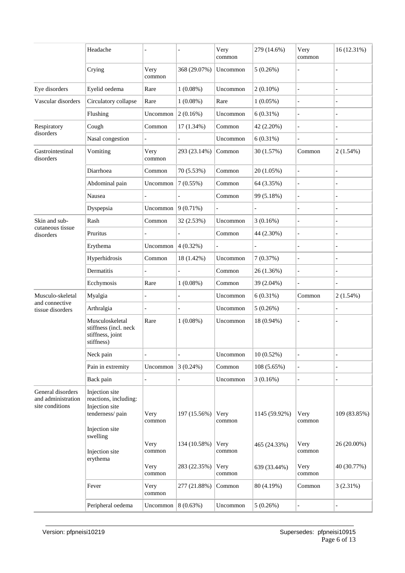|                                                            | Headache                                                                                                   |                        |                              | Very<br>common         | 279 (14.6%)   | Very<br>common           | 16 (12.31%)                |
|------------------------------------------------------------|------------------------------------------------------------------------------------------------------------|------------------------|------------------------------|------------------------|---------------|--------------------------|----------------------------|
|                                                            | Crying                                                                                                     | Very<br>common         | 368 (29.07%)                 | Uncommon               | 5(0.26%)      |                          |                            |
| Eye disorders                                              | Eyelid oedema                                                                                              | Rare                   | $1(0.08\%)$                  | Uncommon               | $2(0.10\%)$   |                          |                            |
| Vascular disorders                                         | Circulatory collapse                                                                                       | Rare                   | $1(0.08\%)$                  | Rare                   | $1(0.05\%)$   | $\overline{\phantom{a}}$ |                            |
|                                                            | Flushing                                                                                                   | Uncommon               | 2(0.16%)                     | Uncommon               | $6(0.31\%)$   | $\overline{a}$           |                            |
| Respiratory                                                | Cough                                                                                                      | Common                 | $17(1.34\%)$                 | Common                 | 42 (2.20%)    | $\frac{1}{2}$            |                            |
| disorders                                                  | Nasal congestion                                                                                           |                        |                              | Uncommon               | $6(0.31\%)$   | $\overline{a}$           |                            |
| Gastrointestinal<br>disorders                              | Vomiting                                                                                                   | Very<br>common         | 293 (23.14%)                 | Common                 | 30 (1.57%)    | Common                   | 2(1.54%)                   |
|                                                            | Diarrhoea                                                                                                  | Common                 | 70 (5.53%)                   | Common                 | 20 (1.05%)    |                          |                            |
|                                                            | Abdominal pain                                                                                             | Uncommon               | 7(0.55%)                     | Common                 | 64 (3.35%)    | $\overline{a}$           |                            |
|                                                            | Nausea                                                                                                     |                        |                              | Common                 | 99 (5.18%)    | $\frac{1}{2}$            |                            |
|                                                            | Dyspepsia                                                                                                  | Uncommon               | $9(0.71\%)$                  |                        |               | $\overline{a}$           |                            |
| Skin and sub-                                              | Rash                                                                                                       | Common                 | 32 (2.53%)                   | Uncommon               | 3(0.16%)      | $\overline{a}$           |                            |
| cutaneous tissue<br>disorders                              | Pruritus                                                                                                   |                        |                              | Common                 | 44 (2.30%)    | $\overline{\phantom{m}}$ |                            |
|                                                            | Erythema                                                                                                   | Uncommon               | $4(0.32\%)$                  |                        |               |                          |                            |
|                                                            | Hyperhidrosis                                                                                              | Common                 | 18 (1.42%)                   | Uncommon               | 7(0.37%)      |                          |                            |
|                                                            | Dermatitis                                                                                                 |                        |                              | Common                 | 26 (1.36%)    |                          |                            |
|                                                            | Ecchymosis                                                                                                 | Rare                   | $1(0.08\%)$                  | Common                 | 39 (2.04%)    |                          |                            |
| Musculo-skeletal                                           | Myalgia                                                                                                    |                        |                              | Uncommon               | 6(0.31%)      | Common                   | 2(1.54%)                   |
| and connective<br>tissue disorders                         | Arthralgia                                                                                                 |                        |                              | Uncommon               | 5(0.26%)      |                          |                            |
|                                                            | Musculoskeletal<br>stiffness (incl. neck<br>stiffness, joint<br>stiffness)                                 | Rare                   | $1(0.08\%)$                  | Uncommon               | 18 (0.94%)    | $\overline{a}$           |                            |
|                                                            | Neck pain                                                                                                  |                        |                              | Uncommon               | $10(0.52\%)$  |                          |                            |
|                                                            | Pain in extremity                                                                                          | Uncommon               | 3(0.24%)                     | Common                 | 108 (5.65%)   | $\frac{1}{2}$            |                            |
|                                                            | Back pain                                                                                                  |                        |                              | Uncommon               | 3(0.16%)      | $\overline{a}$           |                            |
| General disorders<br>and administration<br>site conditions | Injection site<br>reactions, including:<br>Injection site<br>tenderness/pain<br>Injection site<br>swelling | Very<br>common         | 197 (15.56%)                 | Very<br>common         | 1145 (59.92%) | Very<br>common           | 109 (83.85%)               |
|                                                            | Injection site<br>erythema                                                                                 | Very<br>common<br>Very | 134 (10.58%)<br>283 (22.35%) | Very<br>common<br>Very | 465 (24.33%)  | Very<br>common<br>Very   | 26 (20.00%)<br>40 (30.77%) |
|                                                            |                                                                                                            | common                 |                              | common                 | 639 (33.44%)  | common                   |                            |
|                                                            | Fever                                                                                                      | Very<br>common         | 277 (21.88%)                 | Common                 | 80 (4.19%)    | Common                   | 3(2.31%)                   |
|                                                            | Peripheral oedema                                                                                          | Uncommon               | 8(0.63%)                     | Uncommon               | 5(0.26%)      | $\overline{a}$           |                            |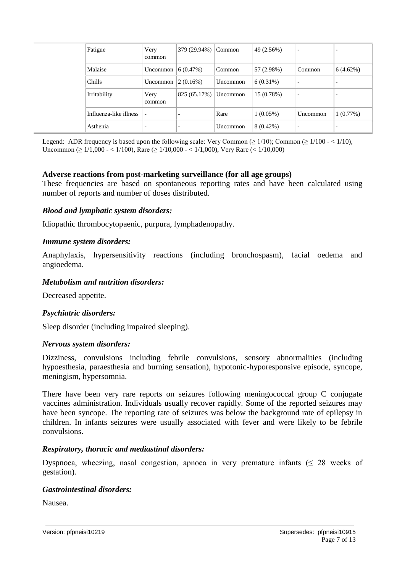| Fatigue                | Very<br>common           | 379 (29.94%)             | Common   | 49 (2.56%)  | $\overline{\phantom{0}}$ |                          |
|------------------------|--------------------------|--------------------------|----------|-------------|--------------------------|--------------------------|
| Malaise                | Uncommon                 | $(6.47\%)$               | Common   | 57 (2.98%)  | Common                   | 6(4.62%)                 |
| Chills                 | Uncommon                 | (2(0.16%)                | Uncommon | $6(0.31\%)$ | $\overline{\phantom{0}}$ | $\overline{\phantom{0}}$ |
| Irritability           | Very<br>common           | 825 (65.17%)             | Uncommon | 15 (0.78%)  |                          | $\overline{\phantom{0}}$ |
| Influenza-like illness | $\overline{\phantom{a}}$ | $\overline{\phantom{a}}$ | Rare     | $1(0.05\%)$ | Uncommon                 | 1(0.77%)                 |
| Asthenia               |                          | $\overline{\phantom{0}}$ | Uncommon | $8(0.42\%)$ |                          | $\overline{\phantom{0}}$ |

Legend: ADR frequency is based upon the following scale: Very Common ( $\geq 1/10$ ); Common ( $\geq 1/100 - \langle 1/10 \rangle$ , Uncommon (≥ 1/1,000 - < 1/100), Rare (≥ 1/10,000 - < 1/1,000), Very Rare (< 1/10,000)

#### **Adverse reactions from post-marketing surveillance (for all age groups)**

These frequencies are based on spontaneous reporting rates and have been calculated using number of reports and number of doses distributed.

#### *Blood and lymphatic system disorders:*

Idiopathic thrombocytopaenic, purpura, lymphadenopathy.

#### *Immune system disorders:*

Anaphylaxis, hypersensitivity reactions (including bronchospasm), facial oedema and angioedema.

#### *Metabolism and nutrition disorders:*

Decreased appetite.

#### *Psychiatric disorders:*

Sleep disorder (including impaired sleeping).

#### *Nervous system disorders:*

Dizziness, convulsions including febrile convulsions, sensory abnormalities (including hypoesthesia, paraesthesia and burning sensation), hypotonic-hyporesponsive episode, syncope, meningism, hypersomnia.

There have been very rare reports on seizures following meningococcal group C conjugate vaccines administration. Individuals usually recover rapidly. Some of the reported seizures may have been syncope. The reporting rate of seizures was below the background rate of epilepsy in children. In infants seizures were usually associated with fever and were likely to be febrile convulsions.

#### *Respiratory, thoracic and mediastinal disorders:*

Dyspnoea, wheezing, nasal congestion, apnoea in very premature infants  $(\leq 28$  weeks of gestation).

#### *Gastrointestinal disorders:*

Nausea.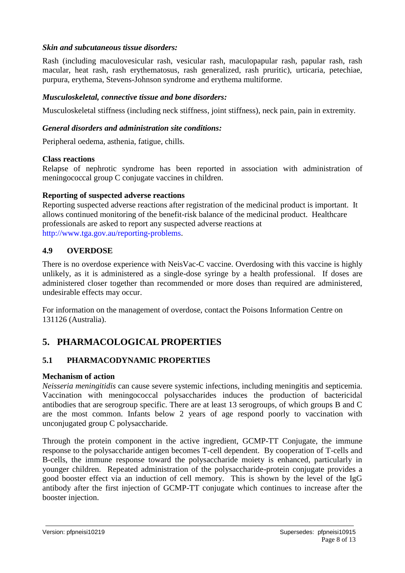#### *Skin and subcutaneous tissue disorders:*

Rash (including maculovesicular rash, vesicular rash, maculopapular rash, papular rash, rash macular, heat rash, rash erythematosus, rash generalized, rash pruritic), urticaria, petechiae, purpura, erythema, Stevens-Johnson syndrome and erythema multiforme.

#### *Musculoskeletal, connective tissue and bone disorders:*

Musculoskeletal stiffness (including neck stiffness, joint stiffness), neck pain, pain in extremity.

#### *General disorders and administration site conditions:*

Peripheral oedema, asthenia, fatigue, chills.

#### **Class reactions**

Relapse of nephrotic syndrome has been reported in association with administration of meningococcal group C conjugate vaccines in children.

#### **Reporting of suspected adverse reactions**

Reporting suspected adverse reactions after registration of the medicinal product is important. It allows continued monitoring of the benefit-risk balance of the medicinal product. Healthcare professionals are asked to report any suspected adverse reactions at [http://www.tga.gov.au/reporting-problems.](http://www.tga.gov.au/reporting-problems)

### **4.9 OVERDOSE**

There is no overdose experience with NeisVac-C vaccine. Overdosing with this vaccine is highly unlikely, as it is administered as a single-dose syringe by a health professional. If doses are administered closer together than recommended or more doses than required are administered, undesirable effects may occur.

For information on the management of overdose, contact the Poisons Information Centre on 131126 (Australia).

# **5. PHARMACOLOGICAL PROPERTIES**

### **5.1 PHARMACODYNAMIC PROPERTIES**

#### **Mechanism of action**

*Neisseria meningitidis* can cause severe systemic infections, including meningitis and septicemia. Vaccination with meningococcal polysaccharides induces the production of bactericidal antibodies that are serogroup specific. There are at least 13 serogroups, of which groups B and C are the most common. Infants below 2 years of age respond poorly to vaccination with unconjugated group C polysaccharide.

Through the protein component in the active ingredient, GCMP-TT Conjugate, the immune response to the polysaccharide antigen becomes T-cell dependent. By cooperation of T-cells and B-cells, the immune response toward the polysaccharide moiety is enhanced, particularly in younger children. Repeated administration of the polysaccharide-protein conjugate provides a good booster effect via an induction of cell memory. This is shown by the level of the IgG antibody after the first injection of GCMP-TT conjugate which continues to increase after the booster injection.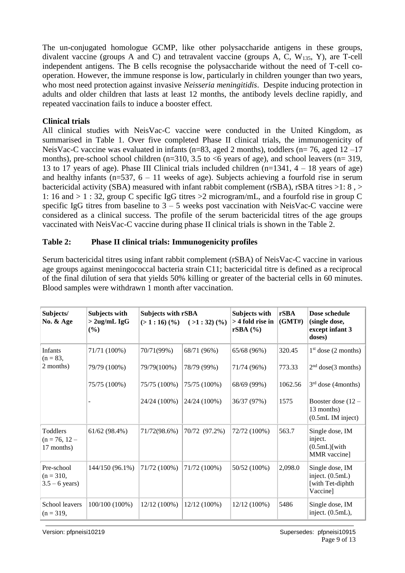The un-conjugated homologue GCMP, like other polysaccharide antigens in these groups, divalent vaccine (groups A and C) and tetravalent vaccine (groups A, C,  $W_{135}$ , Y), are T-cell independent antigens. The B cells recognise the polysaccharide without the need of T-cell cooperation. However, the immune response is low, particularly in children younger than two years, who most need protection against invasive *Neisseria meningitidis*. Despite inducing protection in adults and older children that lasts at least 12 months, the antibody levels decline rapidly, and repeated vaccination fails to induce a booster effect.

#### **Clinical trials**

All clinical studies with NeisVac-C vaccine were conducted in the United Kingdom, as summarised in Table 1. Over five completed Phase II clinical trials, the immunogenicity of NeisVac-C vaccine was evaluated in infants (n=83, aged 2 months), toddlers (n= 76, aged 12 –17 months), pre-school school children (n=310, 3.5 to <6 years of age), and school leavers (n= 319, 13 to 17 years of age). Phase III Clinical trials included children  $(n=1341, 4-18)$  years of age) and healthy infants ( $n=537$ ,  $6-11$  weeks of age). Subjects achieving a fourfold rise in serum bactericidal activity (SBA) measured with infant rabbit complement (rSBA), rSBA titres >1: 8 , > 1: 16 and > 1 : 32, group C specific IgG titres >2 microgram/mL, and a fourfold rise in group C specific IgG titres from baseline to  $3 - 5$  weeks post vaccination with NeisVac-C vaccine were considered as a clinical success. The profile of the serum bactericidal titres of the age groups vaccinated with NeisVac-C vaccine during phase II clinical trials is shown in the Table 2.

#### **Table 2: Phase II clinical trials: Immunogenicity profiles**

Serum bactericidal titres using infant rabbit complement (rSBA) of NeisVac-C vaccine in various age groups against meningococcal bacteria strain C11; bactericidal titre is defined as a reciprocal of the final dilution of sera that yields 50% killing or greater of the bacterial cells in 60 minutes. Blood samples were withdrawn 1 month after vaccination.

| Subjects/<br>No. & Age                        | Subjects with<br>$>$ 2ug/mL IgG<br>(%) | Subjects with rSBA<br>$(>1:16)$ $(\% )$ | $( >1:32)$ $($ %) | Subjects with<br>> 4 fold rise in<br>rSBA (%) | rSBA<br>(GMT#) | Dose schedule<br>(single dose,<br>except infant 3<br>doses)        |
|-----------------------------------------------|----------------------------------------|-----------------------------------------|-------------------|-----------------------------------------------|----------------|--------------------------------------------------------------------|
| <b>Infants</b><br>$(n = 83,$                  | 71/71 (100%)                           | 70/71(99%)                              | 68/71 (96%)       | 65/68 (96%)                                   | 320.45         | $1st$ dose (2 months)                                              |
| 2 months)                                     | 79/79 (100%)                           | 79/79(100%)                             | 78/79 (99%)       | 71/74 (96%)                                   | 773.33         | 2 <sup>nd</sup> dose(3 months)                                     |
|                                               | 75/75 (100%)                           | 75/75 (100%)                            | 75/75 (100%)      | 68/69 (99%)                                   | 1062.56        | $3rd$ dose (4months)                                               |
|                                               |                                        | 24/24 (100%)                            | 24/24 (100%)      | 36/37 (97%)                                   | 1575           | Booster dose (12 -<br>13 months)<br>(0.5mL IM inject)              |
| Toddlers<br>$(n = 76, 12 -$<br>17 months)     | 61/62(98.4%)                           | 71/72(98.6%)                            | 70/72 (97.2%)     | 72/72 (100%)                                  | 563.7          | Single dose, IM<br>inject.<br>$(0.5mL)$ [with]<br>MMR vaccine]     |
| Pre-school<br>$(n = 310,$<br>$3.5 - 6$ years) | 144/150 (96.1%)                        | 71/72 (100%)                            | 71/72 (100%)      | 50/52 (100%)                                  | 2,098.0        | Single dose, IM<br>inject. (0.5mL)<br>[with Tet-diphth<br>Vaccine] |
| School leavers<br>$(n = 319,$                 | 100/100 (100%)                         | $12/12(100\%)$                          | $12/12(100\%)$    | 12/12 (100%)                                  | 5486           | Single dose, IM<br>inject. (0.5mL),                                |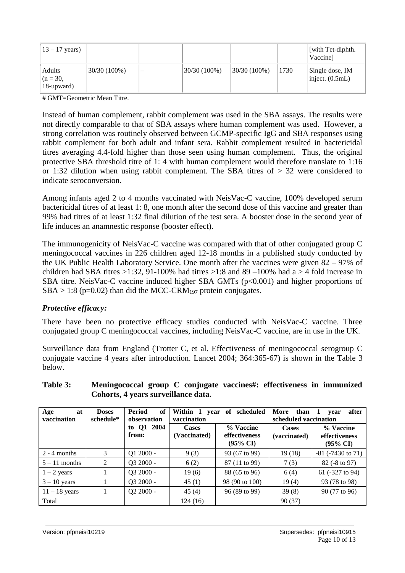| $13 - 17$ years)                   |                 |   |                |              |      | [with Tet-diphth.]<br>Vaccine        |
|------------------------------------|-----------------|---|----------------|--------------|------|--------------------------------------|
| Adults<br>$(n = 30,$<br>18-upward) | $130/30(100\%)$ | – | $30/30(100\%)$ | 30/30 (100%) | 1730 | Single dose, IM<br>inject. $(0.5mL)$ |

# GMT=Geometric Mean Titre.

Instead of human complement, rabbit complement was used in the SBA assays. The results were not directly comparable to that of SBA assays where human complement was used. However, a strong correlation was routinely observed between GCMP-specific IgG and SBA responses using rabbit complement for both adult and infant sera. Rabbit complement resulted in bactericidal titres averaging 4.4-fold higher than those seen using human complement. Thus, the original protective SBA threshold titre of 1: 4 with human complement would therefore translate to 1:16 or 1:32 dilution when using rabbit complement. The SBA titres of > 32 were considered to indicate seroconversion.

Among infants aged 2 to 4 months vaccinated with NeisVac-C vaccine, 100% developed serum bactericidal titres of at least 1: 8, one month after the second dose of this vaccine and greater than 99% had titres of at least 1:32 final dilution of the test sera. A booster dose in the second year of life induces an anamnestic response (booster effect).

The immunogenicity of NeisVac-C vaccine was compared with that of other conjugated group C meningococcal vaccines in 226 children aged 12-18 months in a published study conducted by the UK Public Health Laboratory Service. One month after the vaccines were given 82 – 97% of children had SBA titres  $>1:32$ , 91-100% had titres  $>1:8$  and 89 –100% had a  $>4$  fold increase in SBA titre. NeisVac-C vaccine induced higher SBA GMTs (p<0.001) and higher proportions of  $SBA > 1:8$  (p=0.02) than did the MCC-CRM<sub>197</sub> protein conjugates.

#### *Protective efficacy:*

There have been no protective efficacy studies conducted with NeisVac-C vaccine. Three conjugated group C meningococcal vaccines, including NeisVac-C vaccine, are in use in the UK.

Surveillance data from England (Trotter C, et al. Effectiveness of meningococcal serogroup C conjugate vaccine 4 years after introduction. Lancet 2004; 364:365-67) is shown in the Table 3 below.

|                          |                           | Conor we will be contained again. |                              |                                                   |                                                             |                                                   |  |
|--------------------------|---------------------------|-----------------------------------|------------------------------|---------------------------------------------------|-------------------------------------------------------------|---------------------------------------------------|--|
| at<br>Age<br>vaccination | <b>Doses</b><br>schedule* | Period<br>of<br>observation       | vaccination                  | Within 1 year of scheduled                        | More than<br>after<br>$-1$<br>vear<br>scheduled vaccination |                                                   |  |
|                          |                           | to Q1 2004<br>from:               | <b>Cases</b><br>(Vaccinated) | % Vaccine<br>effectiveness<br>$(95\% \text{ CI})$ | <b>Cases</b><br>(vaccinated)                                | % Vaccine<br>effectiveness<br>$(95\% \text{ CI})$ |  |
| $2 - 4$ months           | 3                         | $Q1 2000 -$                       | 9(3)                         | 93 (67 to 99)                                     | 19(18)                                                      | $-81$ ( $-7430$ to 71)                            |  |
| $5 - 11$ months          | 2                         | Q3 2000 -                         | 6(2)                         | 87 (11 to 99)                                     | 7(3)                                                        | 82 (-8 to 97)                                     |  |
| $1 - 2$ years            |                           | Q3 2000 -                         | 19(6)                        | 88 (65 to 96)                                     | 6(4)                                                        | 61 (-327 to 94)                                   |  |
| $3 - 10$ years           |                           | Q3 2000 -                         | 45(1)                        | 98 (90 to 100)                                    | 19(4)                                                       | 93 (78 to 98)                                     |  |

11 – 18 years 1  $\begin{array}{|c|c|c|c|c|c|c|c|} \hline 1 & 0 & 0 & 45 & 45 & 96 & 99 & 39 & 39 & 8 & 90 & 77 & 69 & 96 \ \hline \end{array}$ 

Total  $124 (16)$  90 (37)

#### **Table 3: Meningococcal group C conjugate vaccines#: effectiveness in immunized Cohorts, 4 years surveillance data.**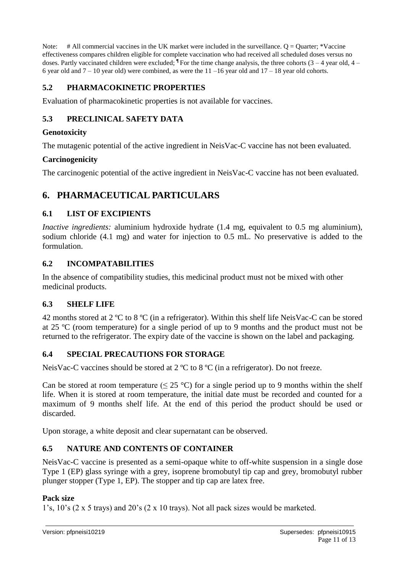Note:  $\#$  All commercial vaccines in the UK market were included in the surveillance. Q = Quarter; \*Vaccine effectiveness compares children eligible for complete vaccination who had received all scheduled doses versus no doses. Partly vaccinated children were excluded;  $\mathbb{I}$  For the time change analysis, the three cohorts (3 – 4 year old, 4 – 6 year old and  $7 - 10$  year old) were combined, as were the  $11 - 16$  year old and  $17 - 18$  year old cohorts.

# **5.2 PHARMACOKINETIC PROPERTIES**

Evaluation of pharmacokinetic properties is not available for vaccines.

### **5.3 PRECLINICAL SAFETY DATA**

#### **Genotoxicity**

The mutagenic potential of the active ingredient in NeisVac-C vaccine has not been evaluated.

### **Carcinogenicity**

The carcinogenic potential of the active ingredient in NeisVac-C vaccine has not been evaluated.

# **6. PHARMACEUTICAL PARTICULARS**

### **6.1 LIST OF EXCIPIENTS**

*Inactive ingredients:* aluminium hydroxide hydrate (1.4 mg, equivalent to 0.5 mg aluminium), sodium chloride (4.1 mg) and water for injection to 0.5 mL. No preservative is added to the formulation.

### **6.2 INCOMPATABILITIES**

In the absence of compatibility studies, this medicinal product must not be mixed with other medicinal products.

# **6.3 SHELF LIFE**

42 months stored at 2 ºC to 8 ºC (in a refrigerator). Within this shelf life NeisVac-C can be stored at 25 ºC (room temperature) for a single period of up to 9 months and the product must not be returned to the refrigerator. The expiry date of the vaccine is shown on the label and packaging.

# **6.4 SPECIAL PRECAUTIONS FOR STORAGE**

NeisVac-C vaccines should be stored at 2 °C to 8 °C (in a refrigerator). Do not freeze.

Can be stored at room temperature ( $\leq 25$  °C) for a single period up to 9 months within the shelf life. When it is stored at room temperature, the initial date must be recorded and counted for a maximum of 9 months shelf life. At the end of this period the product should be used or discarded.

Upon storage, a white deposit and clear supernatant can be observed.

# **6.5 NATURE AND CONTENTS OF CONTAINER**

NeisVac-C vaccine is presented as a semi-opaque white to off-white suspension in a single dose Type 1 (EP) glass syringe with a grey, isoprene bromobutyl tip cap and grey, bromobutyl rubber plunger stopper (Type 1, EP). The stopper and tip cap are latex free.

### **Pack size**

1's, 10's (2 x 5 trays) and 20's (2 x 10 trays). Not all pack sizes would be marketed.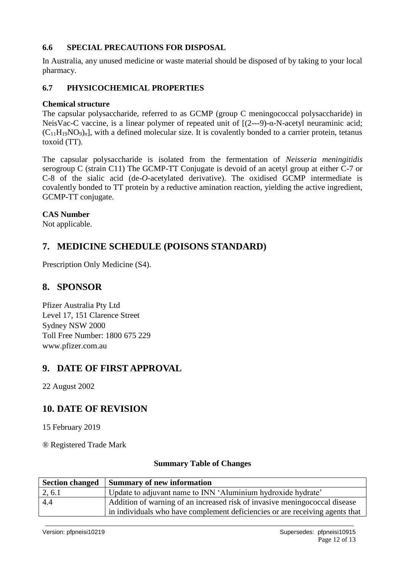### **6.6 SPECIAL PRECAUTIONS FOR DISPOSAL**

In Australia, any unused medicine or waste material should be disposed of by taking to your local pharmacy.

### **6.7 PHYSICOCHEMICAL PROPERTIES**

#### **Chemical structure**

The capsular polysaccharide, referred to as GCMP (group C meningococcal polysaccharide) in NeisVac-C vaccine, is a linear polymer of repeated unit of [(2---9)-α-N-acetyl neuraminic acid;  $(C_{11}H_{19}NO_9)_n$ , with a defined molecular size. It is covalently bonded to a carrier protein, tetanus toxoid (TT).

The capsular polysaccharide is isolated from the fermentation of *Neisseria meningitidis* serogroup C (strain C11) The GCMP-TT Conjugate is devoid of an acetyl group at either C-7 or C-8 of the sialic acid (de-*O*-acetylated derivative). The oxidised GCMP intermediate is covalently bonded to TT protein by a reductive amination reaction, yielding the active ingredient, GCMP-TT conjugate.

#### **CAS Number**

Not applicable.

# **7. MEDICINE SCHEDULE (POISONS STANDARD)**

Prescription Only Medicine (S4).

# **8. SPONSOR**

Pfizer Australia Pty Ltd Level 17, 151 Clarence Street Sydney NSW 2000 Toll Free Number: 1800 675 229 www.pfizer.com.au

# **9. DATE OF FIRST APPROVAL**

22 August 2002

# **10. DATE OF REVISION**

15 February 2019

® Registered Trade Mark

#### **Summary Table of Changes**

| <b>Section changed</b> | <b>Summary of new information</b>                                                                                                                           |
|------------------------|-------------------------------------------------------------------------------------------------------------------------------------------------------------|
| 2, 6.1                 | Update to adjuvant name to INN 'Aluminium hydroxide hydrate'                                                                                                |
| 4.4                    | Addition of warning of an increased risk of invasive mening ococcal disease<br>in individuals who have complement deficiencies or are receiving agents that |